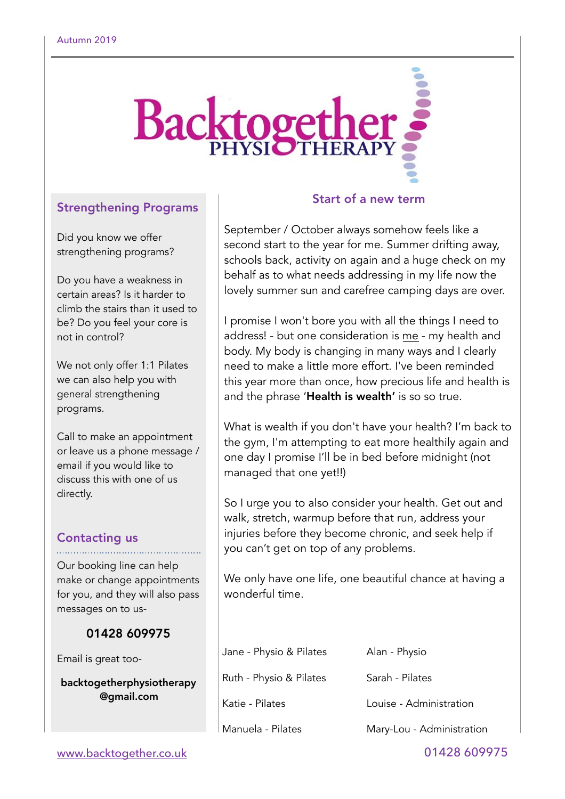

## Strengthening Programs

Did you know we offer strengthening programs?

Do you have a weakness in certain areas? Is it harder to climb the stairs than it used to be? Do you feel your core is not in control?

We not only offer 1:1 Pilates we can also help you with general strengthening programs.

Call to make an appointment or leave us a phone message / email if you would like to discuss this with one of us directly.

# Contacting us

Our booking line can help make or change appointments for you, and they will also pass messages on to us-

## 01428 609975

Email is great too-

backtogetherphysiotherapy @gmail.com

## Start of a new term

September / October always somehow feels like a second start to the year for me. Summer drifting away, schools back, activity on again and a huge check on my behalf as to what needs addressing in my life now the lovely summer sun and carefree camping days are over.

I promise I won't bore you with all the things I need to address! - but one consideration is me - my health and body. My body is changing in many ways and I clearly need to make a little more effort. I've been reminded this year more than once, how precious life and health is and the phrase 'Health is wealth' is so so true.

What is wealth if you don't have your health? I'm back to the gym, I'm attempting to eat more healthily again and one day I promise I'll be in bed before midnight (not managed that one yet!!)

So I urge you to also consider your health. Get out and walk, stretch, warmup before that run, address your injuries before they become chronic, and seek help if you can't get on top of any problems.

We only have one life, one beautiful chance at having a wonderful time.

| Jane - Physio & Pilates | Alan - Physio             |
|-------------------------|---------------------------|
| Ruth - Physio & Pilates | Sarah - Pilates           |
| Katie - Pilates         | Louise - Administration   |
| Manuela - Pilates       | Mary-Lou - Administration |